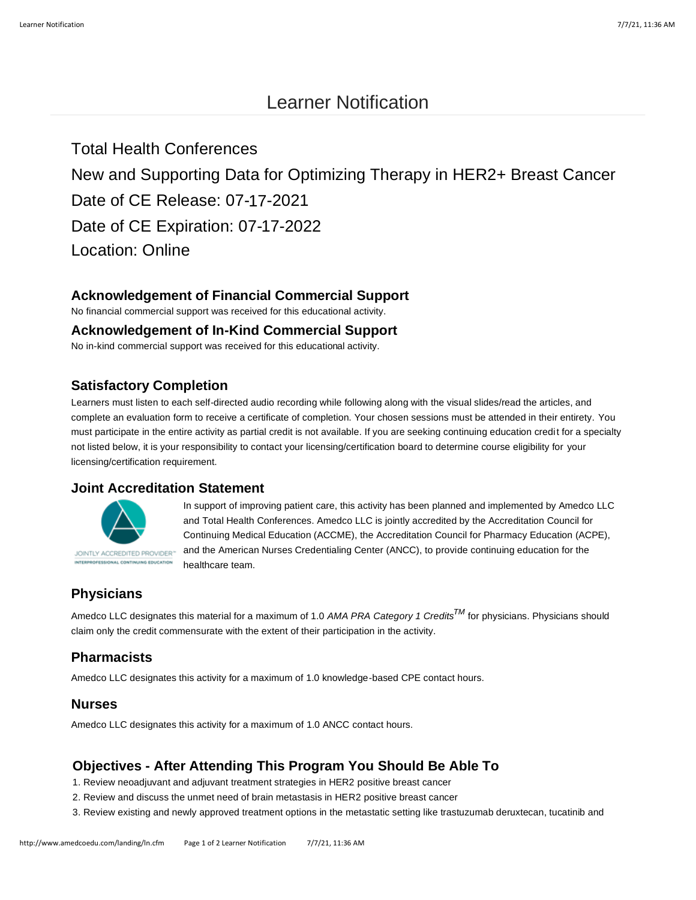# Learner Notification

Total Health Conferences New and Supporting Data for Optimizing Therapy in HER2+ Breast Cancer Date of CE Release: 07-17-2021 Date of CE Expiration: 07-17-2022 Location: Online

## **Acknowledgement of Financial Commercial Support**

No financial commercial support was received for this educational activity.

#### **Acknowledgement of In-Kind Commercial Support**

No in-kind commercial support was received for this educational activity.

#### **Satisfactory Completion**

Learners must listen to each self-directed audio recording while following along with the visual slides/read the articles, and complete an evaluation form to receive a certificate of completion. Your chosen sessions must be attended in their entirety. You must participate in the entire activity as partial credit is not available. If you are seeking continuing education credit for a specialty not listed below, it is your responsibility to contact your licensing/certification board to determine course eligibility for your licensing/certification requirement.

#### **Joint Accreditation Statement**



In support of improving patient care, this activity has been planned and implemented by Amedco LLC and Total Health Conferences. Amedco LLC is jointly accredited by the Accreditation Council for Continuing Medical Education (ACCME), the Accreditation Council for Pharmacy Education (ACPE), and the American Nurses Credentialing Center (ANCC), to provide continuing education for the healthcare team.

# **Physicians**

Amedco LLC designates this material for a maximum of 1.0 *AMA PRA Category 1 CreditsTM* for physicians. Physicians should claim only the credit commensurate with the extent of their participation in the activity.

#### **Pharmacists**

Amedco LLC designates this activity for a maximum of 1.0 knowledge-based CPE contact hours.

#### **Nurses**

Amedco LLC designates this activity for a maximum of 1.0 ANCC contact hours.

### **Objectives - After Attending This Program You Should Be Able To**

- 1. Review neoadjuvant and adjuvant treatment strategies in HER2 positive breast cancer
- 2. Review and discuss the unmet need of brain metastasis in HER2 positive breast cancer
- 3. Review existing and newly approved treatment options in the metastatic setting like trastuzumab deruxtecan, tucatinib and